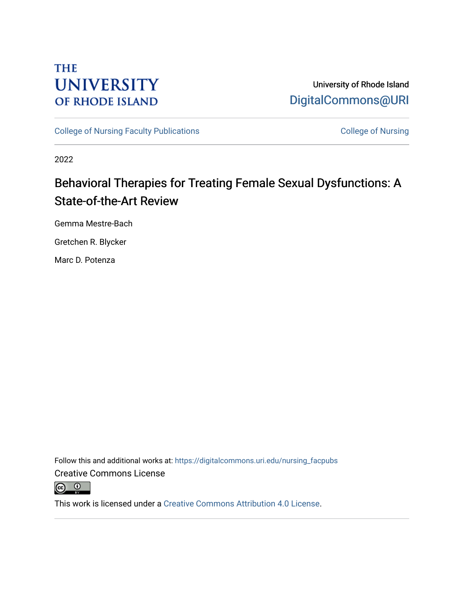# **THE UNIVERSITY OF RHODE ISLAND**

University of Rhode Island [DigitalCommons@URI](https://digitalcommons.uri.edu/) 

[College of Nursing Faculty Publications](https://digitalcommons.uri.edu/nursing_facpubs) [College of Nursing](https://digitalcommons.uri.edu/nursing) College of Nursing

2022

# Behavioral Therapies for Treating Female Sexual Dysfunctions: A State-of-the-Art Review

Gemma Mestre-Bach

Gretchen R. Blycker

Marc D. Potenza

Follow this and additional works at: [https://digitalcommons.uri.edu/nursing\\_facpubs](https://digitalcommons.uri.edu/nursing_facpubs?utm_source=digitalcommons.uri.edu%2Fnursing_facpubs%2F342&utm_medium=PDF&utm_campaign=PDFCoverPages)  Creative Commons License



This work is licensed under a [Creative Commons Attribution 4.0 License](https://creativecommons.org/licenses/by/4.0/).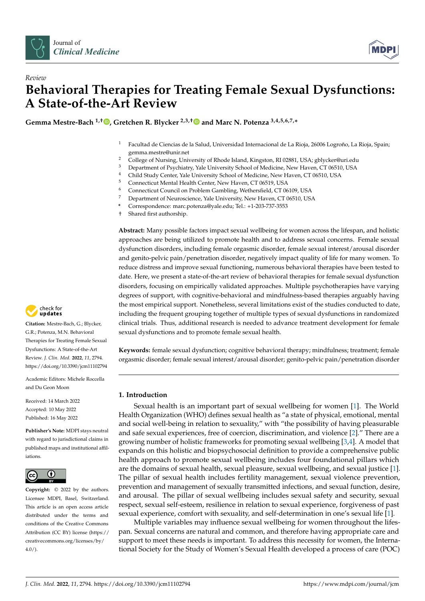



# *Review* **Behavioral Therapies for Treating Female Sexual Dysfunctions: A State-of-the-Art Review**

**Gemma Mestre-Bach 1,† [,](https://orcid.org/0000-0001-5345-0484) Gretchen R. Blycker 2,3,[†](https://orcid.org/0000-0002-2542-2504) and Marc N. Potenza 3,4,5,6,7,\***

- <sup>1</sup> Facultad de Ciencias de la Salud, Universidad Internacional de La Rioja, 26006 Logroño, La Rioja, Spain; gemma.mestre@unir.net
- <sup>2</sup> College of Nursing, University of Rhode Island, Kingston, RI 02881, USA; gblycker@uri.edu
- <sup>3</sup> Department of Psychiatry, Yale University School of Medicine, New Haven, CT 06510, USA<br><sup>4</sup> Child Study Center Vale University Sebased of Medicine, New Haven, CT 06510, USA
- <sup>4</sup> Child Study Center, Yale University School of Medicine, New Haven, CT 06510, USA<br><sup>5</sup> Connecticut Montel Health Center, New Haven, CT 06510, USA
- <sup>5</sup> Connecticut Mental Health Center, New Haven, CT 06519, USA
- <sup>6</sup> Connecticut Council on Problem Gambling, Wethersfield, CT 06109, USA<br><sup>7</sup> Department of Naurogrippes Vale University Naw Hayen, CT 06510, US
- <sup>7</sup> Department of Neuroscience, Yale University, New Haven, CT 06510, USA
- **\*** Correspondence: marc.potenza@yale.edu; Tel.: +1-203-737-3553
- † Shared first authorship.

**Abstract:** Many possible factors impact sexual wellbeing for women across the lifespan, and holistic approaches are being utilized to promote health and to address sexual concerns. Female sexual dysfunction disorders, including female orgasmic disorder, female sexual interest/arousal disorder and genito-pelvic pain/penetration disorder, negatively impact quality of life for many women. To reduce distress and improve sexual functioning, numerous behavioral therapies have been tested to date. Here, we present a state-of-the-art review of behavioral therapies for female sexual dysfunction disorders, focusing on empirically validated approaches. Multiple psychotherapies have varying degrees of support, with cognitive-behavioral and mindfulness-based therapies arguably having the most empirical support. Nonetheless, several limitations exist of the studies conducted to date, including the frequent grouping together of multiple types of sexual dysfunctions in randomized clinical trials. Thus, additional research is needed to advance treatment development for female sexual dysfunctions and to promote female sexual health.

**Keywords:** female sexual dysfunction; cognitive behavioral therapy; mindfulness; treatment; female orgasmic disorder; female sexual interest/arousal disorder; genito-pelvic pain/penetration disorder

### **1. Introduction**

Sexual health is an important part of sexual wellbeing for women [\[1\]](#page-10-0). The World Health Organization (WHO) defines sexual health as "a state of physical, emotional, mental and social well-being in relation to sexuality," with "the possibility of having pleasurable and safe sexual experiences, free of coercion, discrimination, and violence [\[2\]](#page-10-1)." There are a growing number of holistic frameworks for promoting sexual wellbeing [\[3,](#page-10-2)[4\]](#page-10-3). A model that expands on this holistic and biopsychosocial definition to provide a comprehensive public health approach to promote sexual wellbeing includes four foundational pillars which are the domains of sexual health, sexual pleasure, sexual wellbeing, and sexual justice [\[1\]](#page-10-0). The pillar of sexual health includes fertility management, sexual violence prevention, prevention and management of sexually transmitted infections, and sexual function, desire, and arousal. The pillar of sexual wellbeing includes sexual safety and security, sexual respect, sexual self-esteem, resilience in relation to sexual experience, forgiveness of past sexual experience, comfort with sexuality, and self-determination in one's sexual life [\[1\]](#page-10-0).

Multiple variables may influence sexual wellbeing for women throughout the lifespan. Sexual concerns are natural and common, and therefore having appropriate care and support to meet these needs is important. To address this necessity for women, the International Society for the Study of Women's Sexual Health developed a process of care (POC)



**Citation:** Mestre-Bach, G.; Blycker, G.R.; Potenza, M.N. Behavioral Therapies for Treating Female Sexual Dysfunctions: A State-of-the-Art Review. *J. Clin. Med.* **2022**, *11*, 2794. <https://doi.org/10.3390/jcm11102794>

Academic Editors: Michele Roccella and Du Geon Moon

Received: 14 March 2022 Accepted: 10 May 2022 Published: 16 May 2022

**Publisher's Note:** MDPI stays neutral with regard to jurisdictional claims in published maps and institutional affiliations.



**Copyright:** © 2022 by the authors. Licensee MDPI, Basel, Switzerland. This article is an open access article distributed under the terms and conditions of the Creative Commons Attribution (CC BY) license [\(https://](https://creativecommons.org/licenses/by/4.0/) [creativecommons.org/licenses/by/](https://creativecommons.org/licenses/by/4.0/)  $4.0/$ ).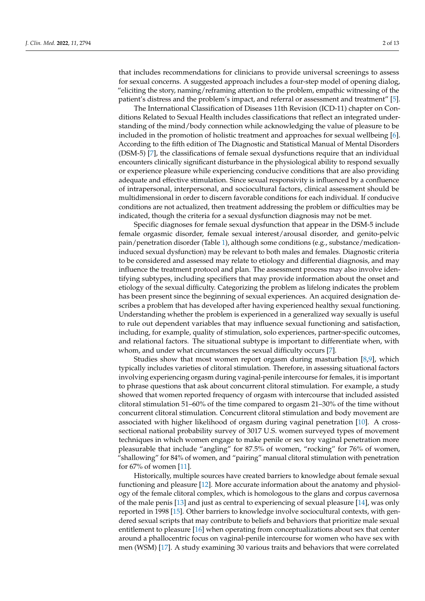that includes recommendations for clinicians to provide universal screenings to assess for sexual concerns. A suggested approach includes a four-step model of opening dialog, "eliciting the story, naming/reframing attention to the problem, empathic witnessing of the patient's distress and the problem's impact, and referral or assessment and treatment" [\[5\]](#page-10-4).

The International Classification of Diseases 11th Revision (ICD-11) chapter on Conditions Related to Sexual Health includes classifications that reflect an integrated understanding of the mind/body connection while acknowledging the value of pleasure to be included in the promotion of holistic treatment and approaches for sexual wellbeing [\[6\]](#page-10-5). According to the fifth edition of The Diagnostic and Statistical Manual of Mental Disorders (DSM-5) [\[7\]](#page-10-6), the classifications of female sexual dysfunctions require that an individual encounters clinically significant disturbance in the physiological ability to respond sexually or experience pleasure while experiencing conducive conditions that are also providing adequate and effective stimulation. Since sexual responsivity is influenced by a confluence of intrapersonal, interpersonal, and sociocultural factors, clinical assessment should be multidimensional in order to discern favorable conditions for each individual. If conducive conditions are not actualized, then treatment addressing the problem or difficulties may be indicated, though the criteria for a sexual dysfunction diagnosis may not be met.

Specific diagnoses for female sexual dysfunction that appear in the DSM-5 include female orgasmic disorder, female sexual interest/arousal disorder, and genito-pelvic pain/penetration disorder (Table [1\)](#page-3-0), although some conditions (e.g., substance/medicationinduced sexual dysfunction) may be relevant to both males and females. Diagnostic criteria to be considered and assessed may relate to etiology and differential diagnosis, and may influence the treatment protocol and plan. The assessment process may also involve identifying subtypes, including specifiers that may provide information about the onset and etiology of the sexual difficulty. Categorizing the problem as lifelong indicates the problem has been present since the beginning of sexual experiences. An acquired designation describes a problem that has developed after having experienced healthy sexual functioning. Understanding whether the problem is experienced in a generalized way sexually is useful to rule out dependent variables that may influence sexual functioning and satisfaction, including, for example, quality of stimulation, solo experiences, partner-specific outcomes, and relational factors. The situational subtype is important to differentiate when, with whom, and under what circumstances the sexual difficulty occurs [\[7\]](#page-10-6).

Studies show that most women report orgasm during masturbation [\[8](#page-10-7)[,9\]](#page-10-8), which typically includes varieties of clitoral stimulation. Therefore, in assessing situational factors involving experiencing orgasm during vaginal-penile intercourse for females, it is important to phrase questions that ask about concurrent clitoral stimulation. For example, a study showed that women reported frequency of orgasm with intercourse that included assisted clitoral stimulation 51–60% of the time compared to orgasm 21–30% of the time without concurrent clitoral stimulation. Concurrent clitoral stimulation and body movement are associated with higher likelihood of orgasm during vaginal penetration [\[10\]](#page-10-9). A crosssectional national probability survey of 3017 U.S. women surveyed types of movement techniques in which women engage to make penile or sex toy vaginal penetration more pleasurable that include "angling" for 87.5% of women, "rocking" for 76% of women, "shallowing" for 84% of women, and "pairing" manual clitoral stimulation with penetration for 67% of women [\[11\]](#page-10-10).

Historically, multiple sources have created barriers to knowledge about female sexual functioning and pleasure [\[12\]](#page-10-11). More accurate information about the anatomy and physiology of the female clitoral complex, which is homologous to the glans and corpus cavernosa of the male penis [\[13\]](#page-10-12) and just as central to experiencing of sexual pleasure [\[14\]](#page-10-13), was only reported in 1998 [\[15\]](#page-10-14). Other barriers to knowledge involve sociocultural contexts, with gendered sexual scripts that may contribute to beliefs and behaviors that prioritize male sexual entitlement to pleasure [\[16\]](#page-10-15) when operating from conceptualizations about sex that center around a phallocentric focus on vaginal-penile intercourse for women who have sex with men (WSM) [\[17\]](#page-10-16). A study examining 30 various traits and behaviors that were correlated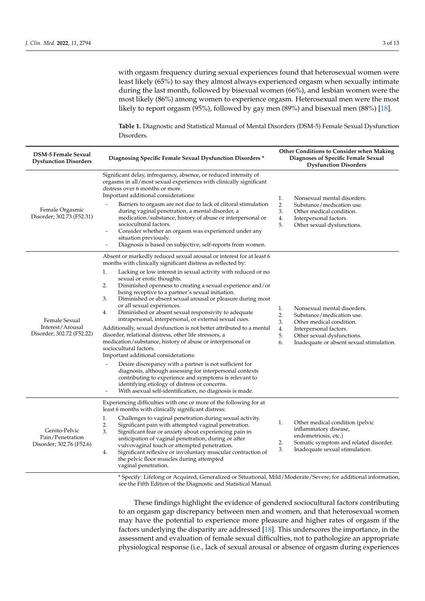with orgasm frequency during sexual experiences found that heterosexual women were least likely (65%) to say they almost always experienced orgasm when sexually intimate during the last month, followed by bisexual women (66%), and lesbian women were the most likely (86%) among women to experience orgasm. Heterosexual men were the most likely to report orgasm (95%), followed by gay men (89%) and bisexual men (88%) [\[18\]](#page-11-0).

<span id="page-3-0"></span>**Table 1.** Diagnostic and Statistical Manual of Mental Disorders (DSM-5) Female Sexual Dysfunction Disorders.

| <b>DSM-5 Female Sexual</b><br><b>Dysfunction Disorders</b>     | Diagnosing Specific Female Sexual Dysfunction Disorders *                                                                                                                                                                                                                                                                                                                                                                                                                                                                                                                                                                                                                                                                                                                                                                                                                                                                                                                                                                                                                                                                                                     | Other Conditions to Consider when Making<br>Diagnoses of Specific Female Sexual<br><b>Dysfunction Disorders</b>                                                                                                              |  |
|----------------------------------------------------------------|---------------------------------------------------------------------------------------------------------------------------------------------------------------------------------------------------------------------------------------------------------------------------------------------------------------------------------------------------------------------------------------------------------------------------------------------------------------------------------------------------------------------------------------------------------------------------------------------------------------------------------------------------------------------------------------------------------------------------------------------------------------------------------------------------------------------------------------------------------------------------------------------------------------------------------------------------------------------------------------------------------------------------------------------------------------------------------------------------------------------------------------------------------------|------------------------------------------------------------------------------------------------------------------------------------------------------------------------------------------------------------------------------|--|
| Female Orgasmic<br>Disorder; 302.73 (F52.31)                   | Significant delay, infrequency, absence, or reduced intensity of<br>orgasms in all/most sexual experiences with clinically significant<br>distress over 6 months or more.<br>Important additional considerations:<br>Barriers to orgasm are not due to lack of clitoral stimulation<br>during vaginal penetration, a mental disorder, a<br>medication/substance, history of abuse or interpersonal or<br>sociocultural factors.<br>Consider whether an orgasm was experienced under any<br>situation previously.<br>Diagnosis is based on subjective, self-reports from women.                                                                                                                                                                                                                                                                                                                                                                                                                                                                                                                                                                                | Nonsexual mental disorders.<br>1.<br>2.<br>Substance/medication use.<br>3.<br>Other medical condition.<br>4.<br>Interpersonal factors.<br>5.<br>Other sexual dysfunctions.                                                   |  |
| Female Sexual<br>Interest/Arousal<br>Disorder; 302.72 (F52.22) | Absent or markedly reduced sexual arousal or interest for at least 6<br>months with clinically significant distress as reflected by:<br>Lacking or low interest in sexual activity with reduced or no<br>1.<br>sexual or erotic thoughts.<br>Diminished openness to creating a sexual experience and/or<br>2.<br>being receptive to a partner's sexual initiation.<br>Diminished or absent sexual arousal or pleasure during most<br>3.<br>or all sexual experiences.<br>Diminished or absent sexual responsivity to adequate<br>4.<br>intrapersonal, interpersonal, or external sexual cues.<br>Additionally, sexual dysfunction is not better attributed to a mental<br>disorder, relational distress, other life stressors, a<br>medication/substance, history of abuse or interpersonal or<br>sociocultural factors.<br>Important additional considerations:<br>Desire discrepancy with a partner is not sufficient for<br>diagnosis, although assessing for interpersonal contexts<br>contributing to experience and symptoms is relevant to<br>identifying etiology of distress or concerns.<br>With asexual self-identification, no diagnosis is made. | Nonsexual mental disorders.<br>1.<br>2.<br>Substance/medication use.<br>3.<br>Other medical condition.<br>4.<br>Interpersonal factors.<br>5.<br>Other sexual dysfunctions.<br>6.<br>Inadequate or absent sexual stimulation. |  |
| Genito-Pelvic<br>Pain/Penetration<br>Disorder; 302.76 (F52.6)  | Experiencing difficulties with one or more of the following for at<br>least 6 months with clinically significant distress:<br>Challenges to vaginal penetration during sexual activity.<br>1.<br>2.<br>Significant pain with attempted vaginal penetration.<br>3.<br>Significant fear or anxiety about experiencing pain in<br>anticipation of vaginal penetration, during or after<br>vulvovaginal touch or attempted penetration.<br>Significant reflexive or involuntary muscular contraction of<br>4.<br>the pelvic floor muscles during attempted<br>vaginal penetration.                                                                                                                                                                                                                                                                                                                                                                                                                                                                                                                                                                                | Other medical condition (pelvic<br>1.<br>inflammatory disease,<br>endometriosis, etc.)<br>2.<br>Somatic symptom and related disorder.<br>3.<br>Inadequate sexual stimulation.                                                |  |

\* Specify: Lifelong or Acquired, Generalized or Situational, Mild/Moderate/Severe; for additional information, see the Fifth Edition of the Diagnostic and Statistical Manual.

These findings highlight the evidence of gendered sociocultural factors contributing to an orgasm gap discrepancy between men and women, and that heterosexual women may have the potential to experience more pleasure and higher rates of orgasm if the factors underlying the disparity are addressed [\[18\]](#page-11-0). This underscores the importance, in the assessment and evaluation of female sexual difficulties, not to pathologize an appropriate physiological response (i.e., lack of sexual arousal or absence of orgasm during experiences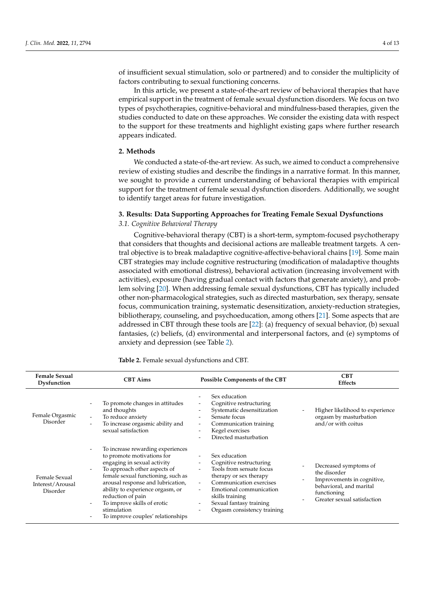of insufficient sexual stimulation, solo or partnered) and to consider the multiplicity of factors contributing to sexual functioning concerns.

In this article, we present a state-of-the-art review of behavioral therapies that have empirical support in the treatment of female sexual dysfunction disorders. We focus on two types of psychotherapies, cognitive-behavioral and mindfulness-based therapies, given the studies conducted to date on these approaches. We consider the existing data with respect to the support for these treatments and highlight existing gaps where further research appears indicated.

#### **2. Methods**

We conducted a state-of-the-art review. As such, we aimed to conduct a comprehensive review of existing studies and describe the findings in a narrative format. In this manner, we sought to provide a current understanding of behavioral therapies with empirical support for the treatment of female sexual dysfunction disorders. Additionally, we sought to identify target areas for future investigation.

## **3. Results: Data Supporting Approaches for Treating Female Sexual Dysfunctions**

## *3.1. Cognitive Behavioral Therapy*

Cognitive-behavioral therapy (CBT) is a short-term, symptom-focused psychotherapy that considers that thoughts and decisional actions are malleable treatment targets. A central objective is to break maladaptive cognitive-affective-behavioral chains [\[19\]](#page-11-1). Some main CBT strategies may include cognitive restructuring (modification of maladaptive thoughts associated with emotional distress), behavioral activation (increasing involvement with activities), exposure (having gradual contact with factors that generate anxiety), and problem solving [\[20\]](#page-11-2). When addressing female sexual dysfunctions, CBT has typically included other non-pharmacological strategies, such as directed masturbation, sex therapy, sensate focus, communication training, systematic desensitization, anxiety-reduction strategies, bibliotherapy, counseling, and psychoeducation, among others [\[21\]](#page-11-3). Some aspects that are addressed in CBT through these tools are [\[22\]](#page-11-4): (a) frequency of sexual behavior, (b) sexual fantasies, (c) beliefs, (d) environmental and interpersonal factors, and (e) symptoms of anxiety and depression (see Table [2\)](#page-5-0).

| <b>Female Sexual</b><br>Dysfunction           | <b>CBT</b> Aims                                                                                                                                                                                                                                                                                                                                                                                                                                                       | Possible Components of the CBT                                                                                                                                                                                                                                                                                                                    | <b>CBT</b><br><b>Effects</b>                                                                                                                                             |
|-----------------------------------------------|-----------------------------------------------------------------------------------------------------------------------------------------------------------------------------------------------------------------------------------------------------------------------------------------------------------------------------------------------------------------------------------------------------------------------------------------------------------------------|---------------------------------------------------------------------------------------------------------------------------------------------------------------------------------------------------------------------------------------------------------------------------------------------------------------------------------------------------|--------------------------------------------------------------------------------------------------------------------------------------------------------------------------|
| Female Orgasmic<br>Disorder                   | To promote changes in attitudes<br>and thoughts<br>To reduce anxiety<br>$\overline{\phantom{a}}$<br>To increase orgasmic ability and<br>sexual satisfaction                                                                                                                                                                                                                                                                                                           | Sex education<br>Cognitive restructuring<br>Systematic desensitization<br>Sensate focus<br>$\overline{\phantom{0}}$<br>Communication training<br>$\overline{\phantom{a}}$<br>Kegel exercises<br>Directed masturbation                                                                                                                             | Higher likelihood to experience<br>orgasm by masturbation<br>and/or with coitus                                                                                          |
| Female Sexual<br>Interest/Arousal<br>Disorder | To increase rewarding experiences<br>$\overline{\phantom{a}}$<br>to promote motivations for<br>engaging in sexual activity<br>To approach other aspects of<br>$\overline{\phantom{a}}$<br>female sexual functioning, such as<br>arousal response and lubrication,<br>ability to experience orgasm, or<br>reduction of pain<br>To improve skills of erotic<br>$\overline{\phantom{a}}$<br>stimulation<br>To improve couples' relationships<br>$\overline{\phantom{a}}$ | Sex education<br>Cognitive restructuring<br>$\overline{\phantom{a}}$<br>Tools from sensate focus<br>$\overline{\phantom{0}}$<br>therapy or sex therapy<br>Communication exercises<br>Emotional communication<br>$\overline{\phantom{0}}$<br>skills training<br>Sexual fantasy training<br>Orgasm consistency training<br>$\overline{\phantom{0}}$ | Decreased symptoms of<br>the disorder<br>Improvements in cognitive,<br>$\overline{\phantom{a}}$<br>behavioral, and marital<br>functioning<br>Greater sexual satisfaction |

**Table 2.** Female sexual dysfunctions and CBT.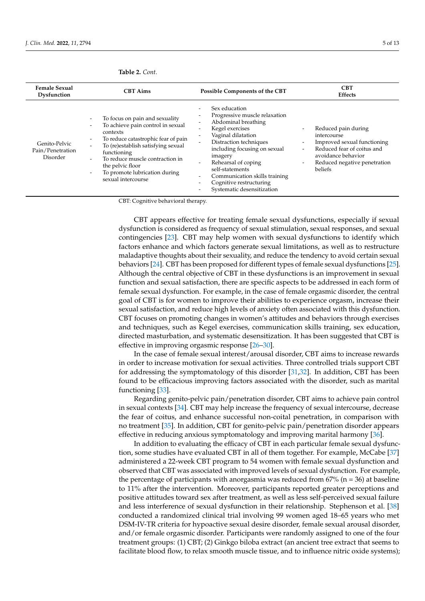| <b>Female Sexual</b><br>Dysfunction           | <b>CBT</b> Aims                                                                                                                                                                                                                                                                                                                                                                                                                       | <b>Possible Components of the CBT</b>                                                                                                                                                                                                                                                                                   | <b>CBT</b><br><b>Effects</b>                                                                                                                                                                                                                                                     |
|-----------------------------------------------|---------------------------------------------------------------------------------------------------------------------------------------------------------------------------------------------------------------------------------------------------------------------------------------------------------------------------------------------------------------------------------------------------------------------------------------|-------------------------------------------------------------------------------------------------------------------------------------------------------------------------------------------------------------------------------------------------------------------------------------------------------------------------|----------------------------------------------------------------------------------------------------------------------------------------------------------------------------------------------------------------------------------------------------------------------------------|
| Genito-Pelvic<br>Pain/Penetration<br>Disorder | To focus on pain and sexuality<br>$\overline{\phantom{a}}$<br>To achieve pain control in sexual<br>$\overline{\phantom{a}}$<br>contexts<br>To reduce catastrophic fear of pain<br>$\overline{\phantom{a}}$<br>To (re)establish satisfying sexual<br>functioning<br>To reduce muscle contraction in<br>$\overline{\phantom{a}}$<br>the pelvic floor<br>To promote lubrication during<br>$\overline{\phantom{0}}$<br>sexual intercourse | Sex education<br>Progressive muscle relaxation<br>Abdominal breathing<br>Kegel exercises<br>Vaginal dilatation<br>Distraction techniques<br>including focusing on sexual<br>imagery<br>Rehearsal of coping<br>self-statements<br>Communication skills training<br>Cognitive restructuring<br>Systematic desensitization | Reduced pain during<br>$\overline{\phantom{a}}$<br>intercourse<br>Improved sexual functioning<br>$\overline{\phantom{a}}$<br>Reduced fear of coitus and<br>$\overline{\phantom{a}}$<br>avoidance behavior<br>Reduced negative penetration<br>$\overline{\phantom{a}}$<br>beliefs |

<span id="page-5-0"></span>**Table 2.** *Cont.*

CBT: Cognitive behavioral therapy.

CBT appears effective for treating female sexual dysfunctions, especially if sexual dysfunction is considered as frequency of sexual stimulation, sexual responses, and sexual contingencies [\[23\]](#page-11-5). CBT may help women with sexual dysfunctions to identify which factors enhance and which factors generate sexual limitations, as well as to restructure maladaptive thoughts about their sexuality, and reduce the tendency to avoid certain sexual behaviors [\[24\]](#page-11-6). CBT has been proposed for different types of female sexual dysfunctions [\[25\]](#page-11-7). Although the central objective of CBT in these dysfunctions is an improvement in sexual function and sexual satisfaction, there are specific aspects to be addressed in each form of female sexual dysfunction. For example, in the case of female orgasmic disorder, the central goal of CBT is for women to improve their abilities to experience orgasm, increase their sexual satisfaction, and reduce high levels of anxiety often associated with this dysfunction. CBT focuses on promoting changes in women's attitudes and behaviors through exercises and techniques, such as Kegel exercises, communication skills training, sex education, directed masturbation, and systematic desensitization. It has been suggested that CBT is effective in improving orgasmic response [\[26–](#page-11-8)[30\]](#page-11-9).

In the case of female sexual interest/arousal disorder, CBT aims to increase rewards in order to increase motivation for sexual activities. Three controlled trials support CBT for addressing the symptomatology of this disorder [\[31](#page-11-10)[,32\]](#page-11-11). In addition, CBT has been found to be efficacious improving factors associated with the disorder, such as marital functioning [\[33\]](#page-11-12).

Regarding genito-pelvic pain/penetration disorder, CBT aims to achieve pain control in sexual contexts [\[34\]](#page-11-13). CBT may help increase the frequency of sexual intercourse, decrease the fear of coitus, and enhance successful non-coital penetration, in comparison with no treatment [\[35\]](#page-11-14). In addition, CBT for genito-pelvic pain/penetration disorder appears effective in reducing anxious symptomatology and improving marital harmony [\[36\]](#page-11-15).

In addition to evaluating the efficacy of CBT in each particular female sexual dysfunction, some studies have evaluated CBT in all of them together. For example, McCabe [\[37\]](#page-11-16) administered a 22-week CBT program to 54 women with female sexual dysfunction and observed that CBT was associated with improved levels of sexual dysfunction. For example, the percentage of participants with anorgasmia was reduced from  $67\%$  (n = 36) at baseline to 11% after the intervention. Moreover, participants reported greater perceptions and positive attitudes toward sex after treatment, as well as less self-perceived sexual failure and less interference of sexual dysfunction in their relationship. Stephenson et al. [\[38\]](#page-11-17) conducted a randomized clinical trial involving 99 women aged 18–65 years who met DSM-IV-TR criteria for hypoactive sexual desire disorder, female sexual arousal disorder, and/or female orgasmic disorder. Participants were randomly assigned to one of the four treatment groups: (1) CBT; (2) Ginkgo biloba extract (an ancient tree extract that seems to facilitate blood flow, to relax smooth muscle tissue, and to influence nitric oxide systems);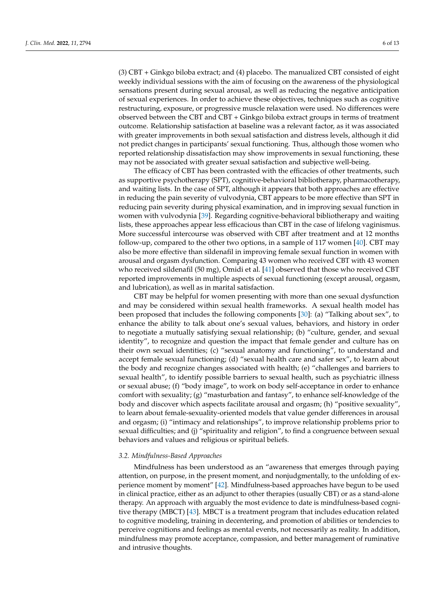(3) CBT + Ginkgo biloba extract; and (4) placebo. The manualized CBT consisted of eight weekly individual sessions with the aim of focusing on the awareness of the physiological sensations present during sexual arousal, as well as reducing the negative anticipation of sexual experiences. In order to achieve these objectives, techniques such as cognitive restructuring, exposure, or progressive muscle relaxation were used. No differences were observed between the CBT and CBT + Ginkgo biloba extract groups in terms of treatment outcome. Relationship satisfaction at baseline was a relevant factor, as it was associated with greater improvements in both sexual satisfaction and distress levels, although it did not predict changes in participants' sexual functioning. Thus, although those women who reported relationship dissatisfaction may show improvements in sexual functioning, these may not be associated with greater sexual satisfaction and subjective well-being.

The efficacy of CBT has been contrasted with the efficacies of other treatments, such as supportive psychotherapy (SPT), cognitive-behavioral bibliotherapy, pharmacotherapy, and waiting lists. In the case of SPT, although it appears that both approaches are effective in reducing the pain severity of vulvodynia, CBT appears to be more effective than SPT in reducing pain severity during physical examination, and in improving sexual function in women with vulvodynia [\[39\]](#page-11-18). Regarding cognitive-behavioral bibliotherapy and waiting lists, these approaches appear less efficacious than CBT in the case of lifelong vaginismus. More successful intercourse was observed with CBT after treatment and at 12 months follow-up, compared to the other two options, in a sample of 117 women [\[40\]](#page-11-19). CBT may also be more effective than sildenafil in improving female sexual function in women with arousal and orgasm dysfunction. Comparing 43 women who received CBT with 43 women who received sildenafil (50 mg), Omidi et al. [\[41\]](#page-11-20) observed that those who received CBT reported improvements in multiple aspects of sexual functioning (except arousal, orgasm, and lubrication), as well as in marital satisfaction.

CBT may be helpful for women presenting with more than one sexual dysfunction and may be considered within sexual health frameworks. A sexual health model has been proposed that includes the following components [\[30\]](#page-11-9): (a) "Talking about sex", to enhance the ability to talk about one's sexual values, behaviors, and history in order to negotiate a mutually satisfying sexual relationship; (b) "culture, gender, and sexual identity", to recognize and question the impact that female gender and culture has on their own sexual identities; (c) "sexual anatomy and functioning", to understand and accept female sexual functioning; (d) "sexual health care and safer sex", to learn about the body and recognize changes associated with health; (e) "challenges and barriers to sexual health", to identify possible barriers to sexual health, such as psychiatric illness or sexual abuse; (f) "body image", to work on body self-acceptance in order to enhance comfort with sexuality; (g) "masturbation and fantasy", to enhance self-knowledge of the body and discover which aspects facilitate arousal and orgasm; (h) "positive sexuality", to learn about female-sexuality-oriented models that value gender differences in arousal and orgasm; (i) "intimacy and relationships", to improve relationship problems prior to sexual difficulties; and (j) "spirituality and religion", to find a congruence between sexual behaviors and values and religious or spiritual beliefs.

#### *3.2. Mindfulness-Based Approaches*

Mindfulness has been understood as an "awareness that emerges through paying attention, on purpose, in the present moment, and nonjudgmentally, to the unfolding of ex-perience moment by moment" [\[42\]](#page-11-21). Mindfulness-based approaches have begun to be used in clinical practice, either as an adjunct to other therapies (usually CBT) or as a stand-alone therapy. An approach with arguably the most evidence to date is mindfulness-based cognitive therapy (MBCT) [\[43\]](#page-11-22). MBCT is a treatment program that includes education related to cognitive modeling, training in decentering, and promotion of abilities or tendencies to perceive cognitions and feelings as mental events, not necessarily as reality. In addition, mindfulness may promote acceptance, compassion, and better management of ruminative and intrusive thoughts.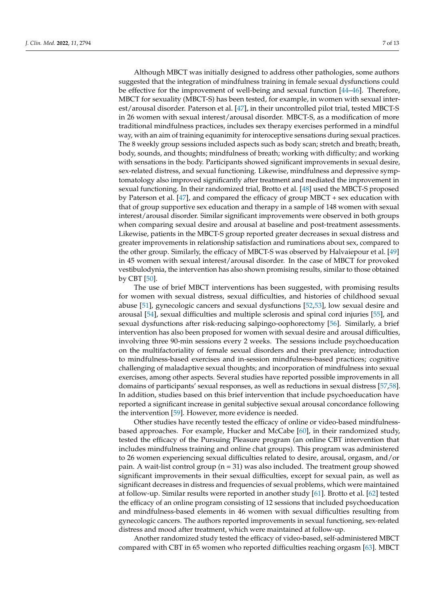Although MBCT was initially designed to address other pathologies, some authors suggested that the integration of mindfulness training in female sexual dysfunctions could be effective for the improvement of well-being and sexual function [\[44](#page-11-23)[–46\]](#page-12-0). Therefore, MBCT for sexuality (MBCT-S) has been tested, for example, in women with sexual interest/arousal disorder. Paterson et al. [\[47\]](#page-12-1), in their uncontrolled pilot trial, tested MBCT-S in 26 women with sexual interest/arousal disorder. MBCT-S, as a modification of more traditional mindfulness practices, includes sex therapy exercises performed in a mindful way, with an aim of training equanimity for interoceptive sensations during sexual practices. The 8 weekly group sessions included aspects such as body scan; stretch and breath; breath, body, sounds, and thoughts; mindfulness of breath; working with difficulty; and working with sensations in the body. Participants showed significant improvements in sexual desire, sex-related distress, and sexual functioning. Likewise, mindfulness and depressive symptomatology also improved significantly after treatment and mediated the improvement in sexual functioning. In their randomized trial, Brotto et al. [\[48\]](#page-12-2) used the MBCT-S proposed by Paterson et al. [\[47\]](#page-12-1), and compared the efficacy of group MBCT + sex education with that of group supportive sex education and therapy in a sample of 148 women with sexual interest/arousal disorder. Similar significant improvements were observed in both groups when comparing sexual desire and arousal at baseline and post-treatment assessments. Likewise, patients in the MBCT-S group reported greater decreases in sexual distress and greater improvements in relationship satisfaction and ruminations about sex, compared to the other group. Similarly, the efficacy of MBCT-S was observed by Halvaiepour et al. [\[49\]](#page-12-3) in 45 women with sexual interest/arousal disorder. In the case of MBCT for provoked vestibulodynia, the intervention has also shown promising results, similar to those obtained by CBT [\[50\]](#page-12-4).

The use of brief MBCT interventions has been suggested, with promising results for women with sexual distress, sexual difficulties, and histories of childhood sexual abuse [\[51\]](#page-12-5), gynecologic cancers and sexual dysfunctions [\[52,](#page-12-6)[53\]](#page-12-7), low sexual desire and arousal [\[54\]](#page-12-8), sexual difficulties and multiple sclerosis and spinal cord injuries [\[55\]](#page-12-9), and sexual dysfunctions after risk-reducing salpingo-oophorectomy [\[56\]](#page-12-10). Similarly, a brief intervention has also been proposed for women with sexual desire and arousal difficulties, involving three 90-min sessions every 2 weeks. The sessions include psychoeducation on the multifactoriality of female sexual disorders and their prevalence; introduction to mindfulness-based exercises and in-session mindfulness-based practices; cognitive challenging of maladaptive sexual thoughts; and incorporation of mindfulness into sexual exercises, among other aspects. Several studies have reported possible improvements in all domains of participants' sexual responses, as well as reductions in sexual distress [\[57,](#page-12-11)[58\]](#page-12-12). In addition, studies based on this brief intervention that include psychoeducation have reported a significant increase in genital subjective sexual arousal concordance following the intervention [\[59\]](#page-12-13). However, more evidence is needed.

Other studies have recently tested the efficacy of online or video-based mindfulnessbased approaches. For example, Hucker and McCabe [\[60\]](#page-12-14), in their randomized study, tested the efficacy of the Pursuing Pleasure program (an online CBT intervention that includes mindfulness training and online chat groups). This program was administered to 26 women experiencing sexual difficulties related to desire, arousal, orgasm, and/or pain. A wait-list control group ( $n = 31$ ) was also included. The treatment group showed significant improvements in their sexual difficulties, except for sexual pain, as well as significant decreases in distress and frequencies of sexual problems, which were maintained at follow-up. Similar results were reported in another study [\[61\]](#page-12-15). Brotto et al. [\[62\]](#page-12-16) tested the efficacy of an online program consisting of 12 sessions that included psychoeducation and mindfulness-based elements in 46 women with sexual difficulties resulting from gynecologic cancers. The authors reported improvements in sexual functioning, sex-related distress and mood after treatment, which were maintained at follow-up.

Another randomized study tested the efficacy of video-based, self-administered MBCT compared with CBT in 65 women who reported difficulties reaching orgasm [\[63\]](#page-12-17). MBCT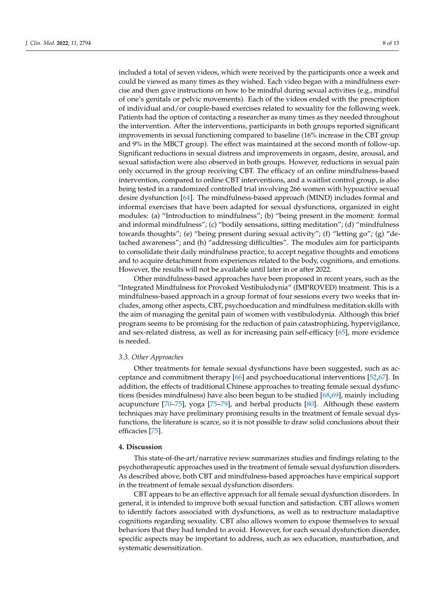included a total of seven videos, which were received by the participants once a week and could be viewed as many times as they wished. Each video began with a mindfulness exercise and then gave instructions on how to be mindful during sexual activities (e.g., mindful of one's genitals or pelvic movements). Each of the videos ended with the prescription of individual and/or couple-based exercises related to sexuality for the following week. Patients had the option of contacting a researcher as many times as they needed throughout the intervention. After the interventions, participants in both groups reported significant improvements in sexual functioning compared to baseline (16% increase in the CBT group and 9% in the MBCT group). The effect was maintained at the second month of follow-up. Significant reductions in sexual distress and improvements in orgasm, desire, arousal, and sexual satisfaction were also observed in both groups. However, reductions in sexual pain only occurred in the group receiving CBT. The efficacy of an online mindfulness-based intervention, compared to online CBT interventions, and a waitlist control group, is also being tested in a randomized controlled trial involving 266 women with hypoactive sexual desire dysfunction [\[64\]](#page-12-18). The mindfulness-based approach (MIND) includes formal and informal exercises that have been adapted for sexual dysfunctions, organized in eight modules: (a) "Introduction to mindfulness"; (b) "being present in the moment: formal and informal mindfulness"; (c) "bodily sensations, sitting meditation"; (d) "mindfulness towards thoughts"; (e) "being present during sexual activity"; (f) "letting go"; (g) "detached awareness"; and (h) "addressing difficulties". The modules aim for participants to consolidate their daily mindfulness practice, to accept negative thoughts and emotions and to acquire detachment from experiences related to the body, cognitions, and emotions. However, the results will not be available until later in or after 2022.

Other mindfulness-based approaches have been proposed in recent years, such as the "Integrated Mindfulness for Provoked Vestibulodynia" (IMPROVED) treatment. This is a mindfulness-based approach in a group format of four sessions every two weeks that includes, among other aspects, CBT, psychoeducation and mindfulness meditation skills with the aim of managing the genital pain of women with vestibulodynia. Although this brief program seems to be promising for the reduction of pain catastrophizing, hypervigilance, and sex-related distress, as well as for increasing pain self-efficacy [\[65\]](#page-12-19), more evidence is needed.

#### *3.3. Other Approaches*

Other treatments for female sexual dysfunctions have been suggested, such as acceptance and commitment therapy [\[66\]](#page-12-20) and psychoeducational interventions [\[52](#page-12-6)[,67\]](#page-12-21). In addition, the effects of traditional Chinese approaches to treating female sexual dysfunctions (besides mindfulness) have also been begun to be studied [\[68,](#page-12-22)[69\]](#page-12-23), mainly including acupuncture [\[70](#page-13-0)[–75\]](#page-13-1), yoga [\[75](#page-13-1)[–79\]](#page-13-2), and herbal products [\[80\]](#page-13-3). Although these eastern techniques may have preliminary promising results in the treatment of female sexual dysfunctions, the literature is scarce, so it is not possible to draw solid conclusions about their efficacies [\[75\]](#page-13-1).

#### **4. Discussion**

This state-of-the-art/narrative review summarizes studies and findings relating to the psychotherapeutic approaches used in the treatment of female sexual dysfunction disorders. As described above, both CBT and mindfulness-based approaches have empirical support in the treatment of female sexual dysfunction disorders.

CBT appears to be an effective approach for all female sexual dysfunction disorders. In general, it is intended to improve both sexual function and satisfaction. CBT allows women to identify factors associated with dysfunctions, as well as to restructure maladaptive cognitions regarding sexuality. CBT also allows women to expose themselves to sexual behaviors that they had tended to avoid. However, for each sexual dysfunction disorder, specific aspects may be important to address, such as sex education, masturbation, and systematic desensitization.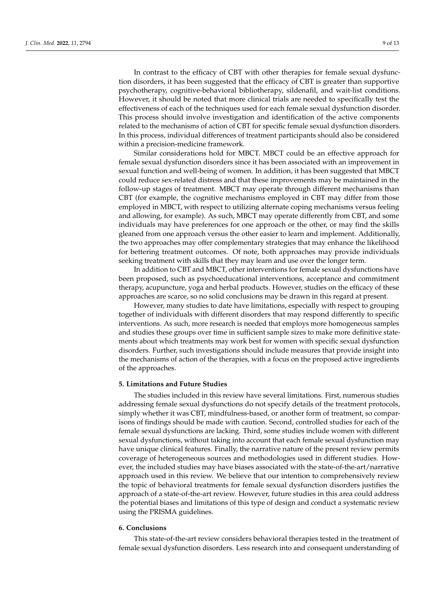In contrast to the efficacy of CBT with other therapies for female sexual dysfunction disorders, it has been suggested that the efficacy of CBT is greater than supportive psychotherapy, cognitive-behavioral bibliotherapy, sildenafil, and wait-list conditions. However, it should be noted that more clinical trials are needed to specifically test the effectiveness of each of the techniques used for each female sexual dysfunction disorder. This process should involve investigation and identification of the active components related to the mechanisms of action of CBT for specific female sexual dysfunction disorders. In this process, individual differences of treatment participants should also be considered within a precision-medicine framework.

Similar considerations hold for MBCT. MBCT could be an effective approach for female sexual dysfunction disorders since it has been associated with an improvement in sexual function and well-being of women. In addition, it has been suggested that MBCT could reduce sex-related distress and that these improvements may be maintained in the follow-up stages of treatment. MBCT may operate through different mechanisms than CBT (for example, the cognitive mechanisms employed in CBT may differ from those employed in MBCT, with respect to utilizing alternate coping mechanisms versus feeling and allowing, for example). As such, MBCT may operate differently from CBT, and some individuals may have preferences for one approach or the other, or may find the skills gleaned from one approach versus the other easier to learn and implement. Additionally, the two approaches may offer complementary strategies that may enhance the likelihood for bettering treatment outcomes. Of note, both approaches may provide individuals seeking treatment with skills that they may learn and use over the longer term.

In addition to CBT and MBCT, other interventions for female sexual dysfunctions have been proposed, such as psychoeducational interventions, acceptance and commitment therapy, acupuncture, yoga and herbal products. However, studies on the efficacy of these approaches are scarce, so no solid conclusions may be drawn in this regard at present.

However, many studies to date have limitations, especially with respect to grouping together of individuals with different disorders that may respond differently to specific interventions. As such, more research is needed that employs more homogeneous samples and studies these groups over time in sufficient sample sizes to make more definitive statements about which treatments may work best for women with specific sexual dysfunction disorders. Further, such investigations should include measures that provide insight into the mechanisms of action of the therapies, with a focus on the proposed active ingredients of the approaches.

#### **5. Limitations and Future Studies**

The studies included in this review have several limitations. First, numerous studies addressing female sexual dysfunctions do not specify details of the treatment protocols, simply whether it was CBT, mindfulness-based, or another form of treatment, so comparisons of findings should be made with caution. Second, controlled studies for each of the female sexual dysfunctions are lacking. Third, some studies include women with different sexual dysfunctions, without taking into account that each female sexual dysfunction may have unique clinical features. Finally, the narrative nature of the present review permits coverage of heterogeneous sources and methodologies used in different studies. However, the included studies may have biases associated with the state-of-the-art/narrative approach used in this review. We believe that our intention to comprehensively review the topic of behavioral treatments for female sexual dysfunction disorders justifies the approach of a state-of-the-art review. However, future studies in this area could address the potential biases and limitations of this type of design and conduct a systematic review using the PRISMA guidelines.

#### **6. Conclusions**

This state-of-the-art review considers behavioral therapies tested in the treatment of female sexual dysfunction disorders. Less research into and consequent understanding of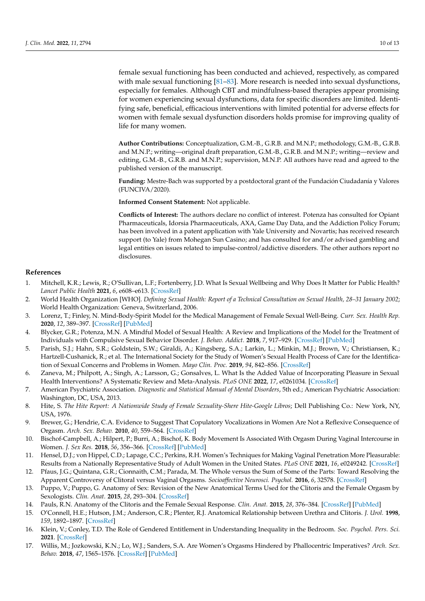female sexual functioning has been conducted and achieved, respectively, as compared with male sexual functioning [\[81–](#page-13-4)[83\]](#page-13-5). More research is needed into sexual dysfunctions, especially for females. Although CBT and mindfulness-based therapies appear promising for women experiencing sexual dysfunctions, data for specific disorders are limited. Identifying safe, beneficial, efficacious interventions with limited potential for adverse effects for women with female sexual dysfunction disorders holds promise for improving quality of life for many women.

**Author Contributions:** Conceptualization, G.M.-B., G.R.B. and M.N.P.; methodology, G.M.-B., G.R.B. and M.N.P.; writing—original draft preparation, G.M.-B., G.R.B. and M.N.P.; writing—review and editing, G.M.-B., G.R.B. and M.N.P.; supervision, M.N.P. All authors have read and agreed to the published version of the manuscript.

**Funding:** Mestre-Bach was supported by a postdoctoral grant of the Fundación Ciudadanía y Valores (FUNCIVA/2020).

**Informed Consent Statement:** Not applicable.

**Conflicts of Interest:** The authors declare no conflict of interest. Potenza has consulted for Opiant Pharmaceuticals, Idorsia Pharmaceuticals, AXA, Game Day Data, and the Addiction Policy Forum; has been involved in a patent application with Yale University and Novartis; has received research support (to Yale) from Mohegan Sun Casino; and has consulted for and/or advised gambling and legal entities on issues related to impulse-control/addictive disorders. The other authors report no disclosures.

#### **References**

- <span id="page-10-0"></span>1. Mitchell, K.R.; Lewis, R.; O'Sullivan, L.F.; Fortenberry, J.D. What Is Sexual Wellbeing and Why Does It Matter for Public Health? *Lancet Public Health* **2021**, *6*, e608–e613. [\[CrossRef\]](http://doi.org/10.1016/S2468-2667(21)00099-2)
- <span id="page-10-1"></span>2. World Health Organization [WHO]. *Defining Sexual Health: Report of a Technical Consultation on Sexual Health, 28–31 January 2002*; World Health Organization: Geneva, Switzerland, 2006.
- <span id="page-10-2"></span>3. Lorenz, T.; Finley, N. Mind-Body-Spirit Model for the Medical Management of Female Sexual Well-Being. *Curr. Sex. Health Rep.* **2020**, *12*, 389–397. [\[CrossRef\]](http://doi.org/10.1007/s11930-020-00291-3) [\[PubMed\]](http://www.ncbi.nlm.nih.gov/pubmed/33815006)
- <span id="page-10-3"></span>4. Blycker, G.R.; Potenza, M.N. A Mindful Model of Sexual Health: A Review and Implications of the Model for the Treatment of Individuals with Compulsive Sexual Behavior Disorder. *J. Behav. Addict.* **2018**, *7*, 917–929. [\[CrossRef\]](http://doi.org/10.1556/2006.7.2018.127) [\[PubMed\]](http://www.ncbi.nlm.nih.gov/pubmed/30580543)
- <span id="page-10-4"></span>5. Parish, S.J.; Hahn, S.R.; Goldstein, S.W.; Giraldi, A.; Kingsberg, S.A.; Larkin, L.; Minkin, M.J.; Brown, V.; Christiansen, K.; Hartzell-Cushanick, R.; et al. The International Society for the Study of Women's Sexual Health Process of Care for the Identification of Sexual Concerns and Problems in Women. *Mayo Clin. Proc.* **2019**, *94*, 842–856. [\[CrossRef\]](http://doi.org/10.1016/j.mayocp.2019.01.009)
- <span id="page-10-5"></span>6. Zaneva, M.; Philpott, A.; Singh, A.; Larsson, G.; Gonsalves, L. What Is the Added Value of Incorporating Pleasure in Sexual Health Interventions? A Systematic Review and Meta-Analysis. *PLoS ONE* **2022**, *17*, e0261034. [\[CrossRef\]](http://doi.org/10.1371/journal.pone.0261034)
- <span id="page-10-6"></span>7. American Psychiatric Association. *Diagnostic and Statistical Manual of Mental Disorders*, 5th ed.; American Psychiatric Association: Washington, DC, USA, 2013.
- <span id="page-10-7"></span>8. Hite, S. *The Hite Report: A Nationwide Study of Female Sexuality-Shere Hite-Google Libros*; Dell Publishing Co.: New York, NY, USA, 1976.
- <span id="page-10-8"></span>9. Brewer, G.; Hendrie, C.A. Evidence to Suggest That Copulatory Vocalizations in Women Are Not a Reflexive Consequence of Orgasm. *Arch. Sex. Behav.* **2010**, *40*, 559–564. [\[CrossRef\]](http://doi.org/10.1007/s10508-010-9632-1)
- <span id="page-10-9"></span>10. Bischof-Campbell, A.; Hilpert, P.; Burri, A.; Bischof, K. Body Movement Is Associated With Orgasm During Vaginal Intercourse in Women. *J. Sex Res.* **2018**, *56*, 356–366. [\[CrossRef\]](http://doi.org/10.1080/00224499.2018.1531367) [\[PubMed\]](http://www.ncbi.nlm.nih.gov/pubmed/30358427)
- <span id="page-10-10"></span>11. Hensel, D.J.; von Hippel, C.D.; Lapage, C.C.; Perkins, R.H. Women's Techniques for Making Vaginal Penetration More Pleasurable: Results from a Nationally Representative Study of Adult Women in the United States. *PLoS ONE* **2021**, *16*, e0249242. [\[CrossRef\]](http://doi.org/10.1371/journal.pone.0249242)
- <span id="page-10-11"></span>12. Pfaus, J.G.; Quintana, G.R.; Cionnaith, C.M.; Parada, M. The Whole versus the Sum of Some of the Parts: Toward Resolving the Apparent Controversy of Clitoral versus Vaginal Orgasms. *Socioaffective Neurosci. Psychol.* **2016**, *6*, 32578. [\[CrossRef\]](http://doi.org/10.3402/snp.v6.32578)
- <span id="page-10-12"></span>13. Puppo, V.; Puppo, G. Anatomy of Sex: Revision of the New Anatomical Terms Used for the Clitoris and the Female Orgasm by Sexologists. *Clin. Anat.* **2015**, *28*, 293–304. [\[CrossRef\]](http://doi.org/10.1002/ca.22471)
- <span id="page-10-13"></span>14. Pauls, R.N. Anatomy of the Clitoris and the Female Sexual Response. *Clin. Anat.* **2015**, *28*, 376–384. [\[CrossRef\]](http://doi.org/10.1002/ca.22524) [\[PubMed\]](http://www.ncbi.nlm.nih.gov/pubmed/25727497)
- <span id="page-10-14"></span>15. O'Connell, H.E.; Hutson, J.M.; Anderson, C.R.; Plenter, R.J. Anatomical Relationship between Urethra and Clitoris. *J. Urol.* **1998**, *159*, 1892–1897. [\[CrossRef\]](http://doi.org/10.1016/S0022-5347(01)63188-4)
- <span id="page-10-15"></span>16. Klein, V.; Conley, T.D. The Role of Gendered Entitlement in Understanding Inequality in the Bedroom. *Soc. Psychol. Pers. Sci.* **2021**. [\[CrossRef\]](http://doi.org/10.1177/19485506211053564)
- <span id="page-10-16"></span>17. Willis, M.; Jozkowski, K.N.; Lo, W.J.; Sanders, S.A. Are Women's Orgasms Hindered by Phallocentric Imperatives? *Arch. Sex. Behav.* **2018**, *47*, 1565–1576. [\[CrossRef\]](http://doi.org/10.1007/s10508-018-1149-z) [\[PubMed\]](http://www.ncbi.nlm.nih.gov/pubmed/29464449)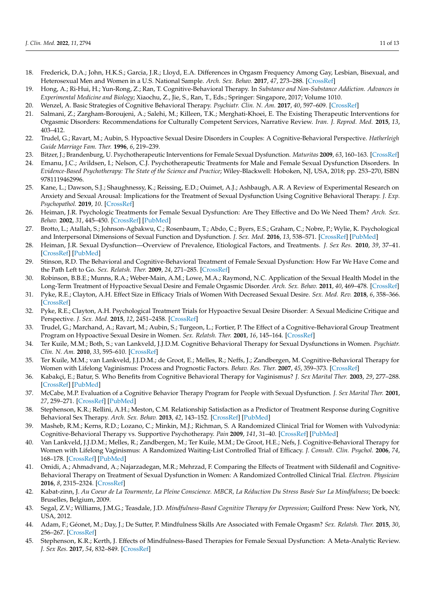- <span id="page-11-0"></span>18. Frederick, D.A.; John, H.K.S.; Garcia, J.R.; Lloyd, E.A. Differences in Orgasm Frequency Among Gay, Lesbian, Bisexual, and Heterosexual Men and Women in a U.S. National Sample. *Arch. Sex. Behav.* **2017**, *47*, 273–288. [\[CrossRef\]](http://doi.org/10.1007/s10508-017-0939-z)
- <span id="page-11-1"></span>19. Hong, A.; Ri-Hui, H.; Yun-Rong, Z.; Ran, T. Cognitive-Behavioral Therapy. In *Substance and Non-Substance Addiction. Advances in Experimental Medicine and Biology*; Xiaochu, Z., Jie, S., Ran, T., Eds.; Springer: Singapore, 2017; Volume 1010.
- <span id="page-11-2"></span>20. Wenzel, A. Basic Strategies of Cognitive Behavioral Therapy. *Psychiatr. Clin. N. Am.* **2017**, *40*, 597–609. [\[CrossRef\]](http://doi.org/10.1016/j.psc.2017.07.001)
- <span id="page-11-3"></span>21. Salmani, Z.; Zargham-Boroujeni, A.; Salehi, M.; Killeen, T.K.; Merghati-Khoei, E. The Existing Therapeutic Interventions for Orgasmic Disorders: Recommendations for Culturally Competent Services, Narrative Review. *Iran. J. Reprod. Med.* **2015**, *13*, 403–412.
- <span id="page-11-4"></span>22. Trudel, G.; Ravart, M.; Aubin, S. Hypoactive Sexual Desire Disorders in Couples: A Cognitive-Behavioral Perspective. *Hatherleigh Guide Marriage Fam. Ther.* **1996**, *6*, 219–239.
- <span id="page-11-5"></span>23. Bitzer, J.; Brandenburg, U. Psychotherapeutic Interventions for Female Sexual Dysfunction. *Maturitas* **2009**, *63*, 160–163. [\[CrossRef\]](http://doi.org/10.1016/j.maturitas.2009.02.012)
- <span id="page-11-6"></span>24. Emanu, J.C.; Avildsen, I.; Nelson, C.J. Psychotherapeutic Treatments for Male and Female Sexual Dysfunction Disorders. In *Evidence-Based Psychotherapy: The State of the Science and Practice*; Wiley-Blackwell: Hoboken, NJ, USA, 2018; pp. 253–270, ISBN 9781119462996.
- <span id="page-11-7"></span>25. Kane, L.; Dawson, S.J.; Shaughnessy, K.; Reissing, E.D.; Ouimet, A.J.; Ashbaugh, A.R. A Review of Experimental Research on Anxiety and Sexual Arousal: Implications for the Treatment of Sexual Dysfunction Using Cognitive Behavioral Therapy. *J. Exp. Psychopathol.* **2019**, *10*. [\[CrossRef\]](http://doi.org/10.1177/2043808719847371)
- <span id="page-11-8"></span>26. Heiman, J.R. Psychologic Treatments for Female Sexual Dysfunction: Are They Effective and Do We Need Them? *Arch. Sex. Behav.* **2002**, *31*, 445–450. [\[CrossRef\]](http://doi.org/10.1023/A:1019848310142) [\[PubMed\]](http://www.ncbi.nlm.nih.gov/pubmed/12238613)
- 27. Brotto, L.; Atallah, S.; Johnson-Agbakwu, C.; Rosenbaum, T.; Abdo, C.; Byers, E.S.; Graham, C.; Nobre, P.; Wylie, K. Psychological and Interpersonal Dimensions of Sexual Function and Dysfunction. *J. Sex. Med.* **2016**, *13*, 538–571. [\[CrossRef\]](http://doi.org/10.1016/j.jsxm.2016.01.019) [\[PubMed\]](http://www.ncbi.nlm.nih.gov/pubmed/27045257)
- 28. Heiman, J.R. Sexual Dysfunction—Overview of Prevalence, Etiological Factors, and Treatments. *J. Sex Res.* **2010**, *39*, 37–41. [\[CrossRef\]](http://doi.org/10.1080/00224490209552124) [\[PubMed\]](http://www.ncbi.nlm.nih.gov/pubmed/12476261)
- 29. Stinson, R.D. The Behavioral and Cognitive-Behavioral Treatment of Female Sexual Dysfunction: How Far We Have Come and the Path Left to Go. *Sex. Relatsh. Ther.* **2009**, *24*, 271–285. [\[CrossRef\]](http://doi.org/10.1080/14681990903199494)
- <span id="page-11-9"></span>30. Robinson, B.B.E.; Munns, R.A.; Weber-Main, A.M.; Lowe, M.A.; Raymond, N.C. Application of the Sexual Health Model in the Long-Term Treatment of Hypoactive Sexual Desire and Female Orgasmic Disorder. *Arch. Sex. Behav.* **2011**, *40*, 469–478. [\[CrossRef\]](http://doi.org/10.1007/s10508-010-9673-5)
- <span id="page-11-10"></span>31. Pyke, R.E.; Clayton, A.H. Effect Size in Efficacy Trials of Women With Decreased Sexual Desire. *Sex. Med. Rev.* **2018**, *6*, 358–366. [\[CrossRef\]](http://doi.org/10.1016/j.sxmr.2018.01.003)
- <span id="page-11-11"></span>32. Pyke, R.E.; Clayton, A.H. Psychological Treatment Trials for Hypoactive Sexual Desire Disorder: A Sexual Medicine Critique and Perspective. *J. Sex. Med.* **2015**, *12*, 2451–2458. [\[CrossRef\]](http://doi.org/10.1111/jsm.13056)
- <span id="page-11-12"></span>33. Trudel, G.; Marchand, A.; Ravart, M.; Aubin, S.; Turgeon, L.; Fortier, P. The Effect of a Cognitive-Behavioral Group Treatment Program on Hypoactive Sexual Desire in Women. *Sex. Relatsh. Ther.* **2001**, *16*, 145–164. [\[CrossRef\]](http://doi.org/10.1080/14681990120040078)
- <span id="page-11-13"></span>34. Ter Kuile, M.M.; Both, S.; van Lankveld, J.J.D.M. Cognitive Behavioral Therapy for Sexual Dysfunctions in Women. *Psychiatr. Clin. N. Am.* **2010**, *33*, 595–610. [\[CrossRef\]](http://doi.org/10.1016/j.psc.2010.04.010)
- <span id="page-11-14"></span>35. Ter Kuile, M.M.; van Lankveld, J.J.D.M.; de Groot, E.; Melles, R.; Neffs, J.; Zandbergen, M. Cognitive-Behavioral Therapy for Women with Lifelong Vaginismus: Process and Prognostic Factors. *Behav. Res. Ther.* **2007**, *45*, 359–373. [\[CrossRef\]](http://doi.org/10.1016/j.brat.2006.03.013)
- <span id="page-11-15"></span>36. Kabakçi, E.; Batur, S. Who Benefits from Cognitive Behavioral Therapy for Vaginismus? *J. Sex Marital Ther.* **2003**, *29*, 277–288. [\[CrossRef\]](http://doi.org/10.1080/00926230390195515) [\[PubMed\]](http://www.ncbi.nlm.nih.gov/pubmed/14504016)
- <span id="page-11-16"></span>37. McCabe, M.P. Evaluation of a Cognitive Behavior Therapy Program for People with Sexual Dysfunction. *J. Sex Marital Ther.* **2001**, *27*, 259–271. [\[CrossRef\]](http://doi.org/10.1080/009262301750257119) [\[PubMed\]](http://www.ncbi.nlm.nih.gov/pubmed/11354931)
- <span id="page-11-17"></span>38. Stephenson, K.R.; Rellini, A.H.; Meston, C.M. Relationship Satisfaction as a Predictor of Treatment Response during Cognitive Behavioral Sex Therapy. *Arch. Sex. Behav.* **2013**, *42*, 143–152. [\[CrossRef\]](http://doi.org/10.1007/s10508-012-9961-3) [\[PubMed\]](http://www.ncbi.nlm.nih.gov/pubmed/22588577)
- <span id="page-11-18"></span>39. Masheb, R.M.; Kerns, R.D.; Lozano, C.; Minkin, M.J.; Richman, S. A Randomized Clinical Trial for Women with Vulvodynia: Cognitive-Behavioral Therapy vs. Supportive Psychotherapy. *Pain* **2009**, *141*, 31–40. [\[CrossRef\]](http://doi.org/10.1016/j.pain.2008.09.031) [\[PubMed\]](http://www.ncbi.nlm.nih.gov/pubmed/19022580)
- <span id="page-11-19"></span>40. Van Lankveld, J.J.D.M.; Melles, R.; Zandbergen, M.; Ter Kuile, M.M.; De Groot, H.E.; Nefs, J. Cognitive-Behavioral Therapy for Women with Lifelong Vaginismus: A Randomized Waiting-List Controlled Trial of Efficacy. *J. Consult. Clin. Psychol.* **2006**, *74*, 168–178. [\[CrossRef\]](http://doi.org/10.1037/0022-006X.74.1.168) [\[PubMed\]](http://www.ncbi.nlm.nih.gov/pubmed/16551154)
- <span id="page-11-20"></span>41. Omidi, A.; Ahmadvand, A.; Najarzadegan, M.R.; Mehrzad, F. Comparing the Effects of Treatment with Sildenafil and Cognitive-Behavioral Therapy on Treatment of Sexual Dysfunction in Women: A Randomized Controlled Clinical Trial. *Electron. Physician* **2016**, *8*, 2315–2324. [\[CrossRef\]](http://doi.org/10.19082/2315)
- <span id="page-11-21"></span>42. Kabat-zinn, J. *Au Coeur de La Tourmente, La Pleine Conscience. MBCR, La Réduction Du Stress Basée Sur La Mindfulness*; De boeck: Bruselles, Belgium, 2009.
- <span id="page-11-22"></span>43. Segal, Z.V.; Williams, J.M.G.; Teasdale, J.D. *Mindfulness-Based Cognitive Therapy for Depression*; Guilford Press: New York, NY, USA, 2012.
- <span id="page-11-23"></span>44. Adam, F.; Géonet, M.; Day, J.; De Sutter, P. Mindfulness Skills Are Associated with Female Orgasm? *Sex. Relatsh. Ther.* **2015**, *30*, 256–267. [\[CrossRef\]](http://doi.org/10.1080/14681994.2014.986085)
- 45. Stephenson, K.R.; Kerth, J. Effects of Mindfulness-Based Therapies for Female Sexual Dysfunction: A Meta-Analytic Review. *J. Sex Res.* **2017**, *54*, 832–849. [\[CrossRef\]](http://doi.org/10.1080/00224499.2017.1331199)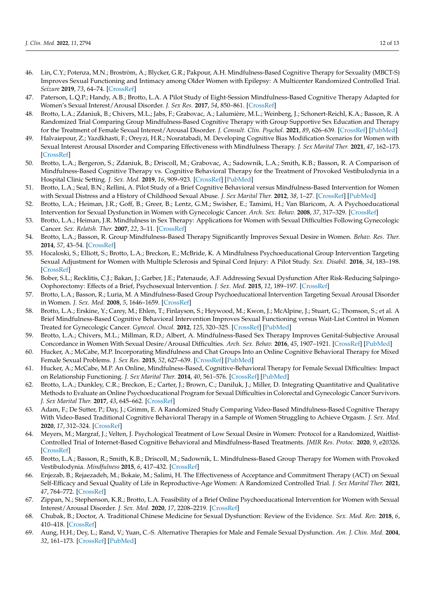- <span id="page-12-0"></span>46. Lin, C.Y.; Potenza, M.N.; Broström, A.; Blycker, G.R.; Pakpour, A.H. Mindfulness-Based Cognitive Therapy for Sexuality (MBCT-S) Improves Sexual Functioning and Intimacy among Older Women with Epilepsy: A Multicenter Randomized Controlled Trial. *Seizure* **2019**, *73*, 64–74. [\[CrossRef\]](http://doi.org/10.1016/j.seizure.2019.10.010)
- <span id="page-12-1"></span>47. Paterson, L.Q.P.; Handy, A.B.; Brotto, L.A. A Pilot Study of Eight-Session Mindfulness-Based Cognitive Therapy Adapted for Women's Sexual Interest/Arousal Disorder. *J. Sex Res.* **2017**, *54*, 850–861. [\[CrossRef\]](http://doi.org/10.1080/00224499.2016.1208800)
- <span id="page-12-2"></span>48. Brotto, L.A.; Zdaniuk, B.; Chivers, M.L.; Jabs, F.; Grabovac, A.; Lalumière, M.L.; Weinberg, J.; Schonert-Reichl, K.A.; Basson, R. A Randomized Trial Comparing Group Mindfulness-Based Cognitive Therapy with Group Supportive Sex Education and Therapy for the Treatment of Female Sexual Interest/Arousal Disorder. *J. Consult. Clin. Psychol.* **2021**, *89*, 626–639. [\[CrossRef\]](http://doi.org/10.1037/ccp0000661) [\[PubMed\]](http://www.ncbi.nlm.nih.gov/pubmed/34383535)
- <span id="page-12-3"></span>49. Halvaiepour, Z.; Yazdkhasti, F.; Oreyzi, H.R.; Nosratabadi, M. Developing Cognitive Bias Modification Scenarios for Women with Sexual Interest Arousal Disorder and Comparing Effectiveness with Mindfulness Therapy. *J. Sex Marital Ther.* **2021**, *47*, 162–173. [\[CrossRef\]](http://doi.org/10.1080/0092623X.2020.1842572)
- <span id="page-12-4"></span>50. Brotto, L.A.; Bergeron, S.; Zdaniuk, B.; Driscoll, M.; Grabovac, A.; Sadownik, L.A.; Smith, K.B.; Basson, R. A Comparison of Mindfulness-Based Cognitive Therapy vs. Cognitive Behavioral Therapy for the Treatment of Provoked Vestibulodynia in a Hospital Clinic Setting. *J. Sex. Med.* **2019**, *16*, 909–923. [\[CrossRef\]](http://doi.org/10.1016/j.jsxm.2019.04.002) [\[PubMed\]](http://www.ncbi.nlm.nih.gov/pubmed/31103481)
- <span id="page-12-5"></span>51. Brotto, L.A.; Seal, B.N.; Rellini, A. Pilot Study of a Brief Cognitive Behavioral versus Mindfulness-Based Intervention for Women with Sexual Distress and a History of Childhood Sexual Abuse. *J. Sex Marital Ther.* **2012**, *38*, 1–27. [\[CrossRef\]](http://doi.org/10.1080/0092623X.2011.569636) [\[PubMed\]](http://www.ncbi.nlm.nih.gov/pubmed/22268979)
- <span id="page-12-6"></span>52. Brotto, L.A.; Heiman, J.R.; Goff, B.; Greer, B.; Lentz, G.M.; Swisher, E.; Tamimi, H.; Van Blaricom, A. A Psychoeducational Intervention for Sexual Dysfunction in Women with Gynecologic Cancer. *Arch. Sex. Behav.* **2008**, *37*, 317–329. [\[CrossRef\]](http://doi.org/10.1007/s10508-007-9196-x)
- <span id="page-12-7"></span>53. Brotto, L.A.; Heiman, J.R. Mindfulness in Sex Therapy: Applications for Women with Sexual Difficulties Following Gynecologic Cancer. *Sex. Relatsh. Ther.* **2007**, *22*, 3–11. [\[CrossRef\]](http://doi.org/10.1080/14681990601153298)
- <span id="page-12-8"></span>54. Brotto, L.A.; Basson, R. Group Mindfulness-Based Therapy Significantly Improves Sexual Desire in Women. *Behav. Res. Ther.* **2014**, *57*, 43–54. [\[CrossRef\]](http://doi.org/10.1016/j.brat.2014.04.001)
- <span id="page-12-9"></span>55. Hocaloski, S.; Elliott, S.; Brotto, L.A.; Breckon, E.; McBride, K. A Mindfulness Psychoeducational Group Intervention Targeting Sexual Adjustment for Women with Multiple Sclerosis and Spinal Cord Injury: A Pilot Study. *Sex. Disabil.* **2016**, *34*, 183–198. [\[CrossRef\]](http://doi.org/10.1007/s11195-016-9426-z)
- <span id="page-12-10"></span>56. Bober, S.L.; Recklitis, C.J.; Bakan, J.; Garber, J.E.; Patenaude, A.F. Addressing Sexual Dysfunction After Risk-Reducing Salpingo-Oophorectomy: Effects of a Brief, Psychosexual Intervention. *J. Sex. Med.* **2015**, *12*, 189–197. [\[CrossRef\]](http://doi.org/10.1111/jsm.12713)
- <span id="page-12-11"></span>57. Brotto, L.A.; Basson, R.; Luria, M. A Mindfulness-Based Group Psychoeducational Intervention Targeting Sexual Arousal Disorder in Women. *J. Sex. Med.* **2008**, *5*, 1646–1659. [\[CrossRef\]](http://doi.org/10.1111/j.1743-6109.2008.00850.x)
- <span id="page-12-12"></span>58. Brotto, L.A.; Erskine, Y.; Carey, M.; Ehlen, T.; Finlayson, S.; Heywood, M.; Kwon, J.; McAlpine, J.; Stuart, G.; Thomson, S.; et al. A Brief Mindfulness-Based Cognitive Behavioral Intervention Improves Sexual Functioning versus Wait-List Control in Women Treated for Gynecologic Cancer. *Gynecol. Oncol.* **2012**, *125*, 320–325. [\[CrossRef\]](http://doi.org/10.1016/j.ygyno.2012.01.035) [\[PubMed\]](http://www.ncbi.nlm.nih.gov/pubmed/22293042)
- <span id="page-12-13"></span>59. Brotto, L.A.; Chivers, M.L.; Millman, R.D.; Albert, A. Mindfulness-Based Sex Therapy Improves Genital-Subjective Arousal Concordance in Women With Sexual Desire/Arousal Difficulties. *Arch. Sex. Behav.* **2016**, *45*, 1907–1921. [\[CrossRef\]](http://doi.org/10.1007/s10508-015-0689-8) [\[PubMed\]](http://www.ncbi.nlm.nih.gov/pubmed/26919839)
- <span id="page-12-14"></span>60. Hucker, A.; McCabe, M.P. Incorporating Mindfulness and Chat Groups Into an Online Cognitive Behavioral Therapy for Mixed Female Sexual Problems. *J. Sex Res.* **2015**, *52*, 627–639. [\[CrossRef\]](http://doi.org/10.1080/00224499.2014.888388) [\[PubMed\]](http://www.ncbi.nlm.nih.gov/pubmed/24742343)
- <span id="page-12-15"></span>61. Hucker, A.; McCabe, M.P. An Online, Mindfulness-Based, Cognitive-Behavioral Therapy for Female Sexual Difficulties: Impact on Relationship Functioning. *J. Sex Marital Ther.* **2014**, *40*, 561–576. [\[CrossRef\]](http://doi.org/10.1080/0092623X.2013.796578) [\[PubMed\]](http://www.ncbi.nlm.nih.gov/pubmed/24308322)
- <span id="page-12-16"></span>62. Brotto, L.A.; Dunkley, C.R.; Breckon, E.; Carter, J.; Brown, C.; Daniluk, J.; Miller, D. Integrating Quantitative and Qualitative Methods to Evaluate an Online Psychoeducational Program for Sexual Difficulties in Colorectal and Gynecologic Cancer Survivors. *J. Sex Marital Ther.* **2017**, *43*, 645–662. [\[CrossRef\]](http://doi.org/10.1080/0092623X.2016.1230805)
- <span id="page-12-17"></span>63. Adam, F.; De Sutter, P.; Day, J.; Grimm, E. A Randomized Study Comparing Video-Based Mindfulness-Based Cognitive Therapy With Video-Based Traditional Cognitive Behavioral Therapy in a Sample of Women Struggling to Achieve Orgasm. *J. Sex. Med.* **2020**, *17*, 312–324. [\[CrossRef\]](http://doi.org/10.1016/j.jsxm.2019.10.022)
- <span id="page-12-18"></span>64. Meyers, M.; Margraf, J.; Velten, J. Psychological Treatment of Low Sexual Desire in Women: Protocol for a Randomized, Waitlist-Controlled Trial of Internet-Based Cognitive Behavioral and Mindfulness-Based Treatments. *JMIR Res. Protoc.* **2020**, *9*, e20326. [\[CrossRef\]](http://doi.org/10.2196/20326)
- <span id="page-12-19"></span>65. Brotto, L.A.; Basson, R.; Smith, K.B.; Driscoll, M.; Sadownik, L. Mindfulness-Based Group Therapy for Women with Provoked Vestibulodynia. *Mindfulness* **2015**, *6*, 417–432. [\[CrossRef\]](http://doi.org/10.1007/s12671-013-0273-z)
- <span id="page-12-20"></span>66. Enjezab, B.; Rejaezadeh, M.; Bokaie, M.; Salimi, H. The Effectiveness of Acceptance and Commitment Therapy (ACT) on Sexual Self-Efficacy and Sexual Quality of Life in Reproductive-Age Women: A Randomized Controlled Trial. *J. Sex Marital Ther.* **2021**, *47*, 764–772. [\[CrossRef\]](http://doi.org/10.1080/0092623X.2021.1944938)
- <span id="page-12-21"></span>67. Zippan, N.; Stephenson, K.R.; Brotto, L.A. Feasibility of a Brief Online Psychoeducational Intervention for Women with Sexual Interest/Arousal Disorder. *J. Sex. Med.* **2020**, *17*, 2208–2219. [\[CrossRef\]](http://doi.org/10.1016/j.jsxm.2020.07.086)
- <span id="page-12-22"></span>68. Chubak, B.; Doctor, A. Traditional Chinese Medicine for Sexual Dysfunction: Review of the Evidence. *Sex. Med. Rev.* **2018**, *6*, 410–418. [\[CrossRef\]](http://doi.org/10.1016/j.sxmr.2017.11.007)
- <span id="page-12-23"></span>69. Aung, H.H.; Dey, L.; Rand, V.; Yuan, C.-S. Alternative Therapies for Male and Female Sexual Dysfunction. *Am. J. Chin. Med.* **2004**, *32*, 161–173. [\[CrossRef\]](http://doi.org/10.1142/S0192415X04001837) [\[PubMed\]](http://www.ncbi.nlm.nih.gov/pubmed/15315255)